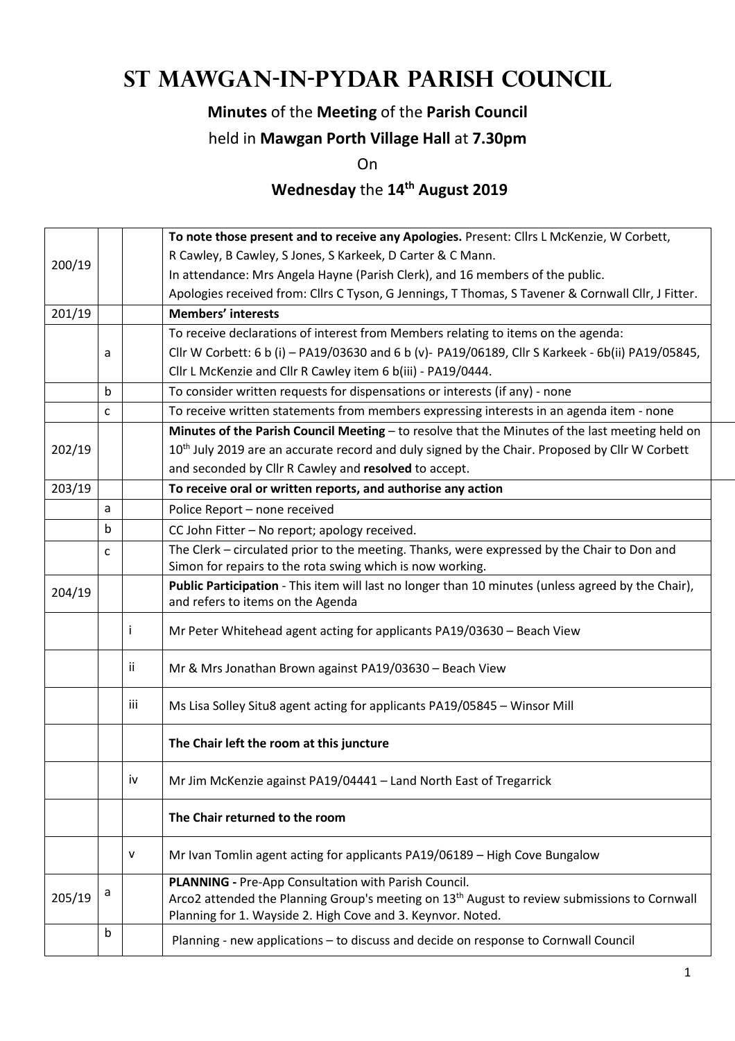# **St Mawgan-in-Pydar Parish Council**

#### **Minutes** of the **Meeting** of the **Parish Council**

#### held in **Mawgan Porth Village Hall** at **7.30pm**

On

### **Wednesday** the **14th August 2019**

|        |   |     | To note those present and to receive any Apologies. Present: Cllrs L McKenzie, W Corbett,                                                                                                                                       |  |  |  |  |  |
|--------|---|-----|---------------------------------------------------------------------------------------------------------------------------------------------------------------------------------------------------------------------------------|--|--|--|--|--|
| 200/19 |   |     | R Cawley, B Cawley, S Jones, S Karkeek, D Carter & C Mann.                                                                                                                                                                      |  |  |  |  |  |
|        |   |     | In attendance: Mrs Angela Hayne (Parish Clerk), and 16 members of the public.                                                                                                                                                   |  |  |  |  |  |
|        |   |     | Apologies received from: Cllrs C Tyson, G Jennings, T Thomas, S Tavener & Cornwall Cllr, J Fitter.                                                                                                                              |  |  |  |  |  |
| 201/19 |   |     | <b>Members' interests</b>                                                                                                                                                                                                       |  |  |  |  |  |
|        |   |     | To receive declarations of interest from Members relating to items on the agenda:                                                                                                                                               |  |  |  |  |  |
|        | a |     | Cllr W Corbett: 6 b (i) - PA19/03630 and 6 b (v)- PA19/06189, Cllr S Karkeek - 6b(ii) PA19/05845,                                                                                                                               |  |  |  |  |  |
|        |   |     | Cllr L McKenzie and Cllr R Cawley item 6 b(iii) - PA19/0444.                                                                                                                                                                    |  |  |  |  |  |
|        | b |     | To consider written requests for dispensations or interests (if any) - none                                                                                                                                                     |  |  |  |  |  |
|        | C |     | To receive written statements from members expressing interests in an agenda item - none                                                                                                                                        |  |  |  |  |  |
|        |   |     | Minutes of the Parish Council Meeting - to resolve that the Minutes of the last meeting held on                                                                                                                                 |  |  |  |  |  |
| 202/19 |   |     | 10 <sup>th</sup> July 2019 are an accurate record and duly signed by the Chair. Proposed by Cllr W Corbett                                                                                                                      |  |  |  |  |  |
|        |   |     | and seconded by Cllr R Cawley and resolved to accept.                                                                                                                                                                           |  |  |  |  |  |
| 203/19 |   |     | To receive oral or written reports, and authorise any action                                                                                                                                                                    |  |  |  |  |  |
|        | a |     | Police Report - none received                                                                                                                                                                                                   |  |  |  |  |  |
|        | b |     | CC John Fitter - No report; apology received.                                                                                                                                                                                   |  |  |  |  |  |
|        | C |     | The Clerk - circulated prior to the meeting. Thanks, were expressed by the Chair to Don and                                                                                                                                     |  |  |  |  |  |
|        |   |     | Simon for repairs to the rota swing which is now working.                                                                                                                                                                       |  |  |  |  |  |
| 204/19 |   |     | Public Participation - This item will last no longer than 10 minutes (unless agreed by the Chair),<br>and refers to items on the Agenda                                                                                         |  |  |  |  |  |
|        |   | Ť   | Mr Peter Whitehead agent acting for applicants PA19/03630 - Beach View                                                                                                                                                          |  |  |  |  |  |
|        |   | ii. | Mr & Mrs Jonathan Brown against PA19/03630 - Beach View                                                                                                                                                                         |  |  |  |  |  |
|        |   | iii | Ms Lisa Solley Situ8 agent acting for applicants PA19/05845 - Winsor Mill                                                                                                                                                       |  |  |  |  |  |
|        |   |     | The Chair left the room at this juncture                                                                                                                                                                                        |  |  |  |  |  |
|        |   | iv  | Mr Jim McKenzie against PA19/04441 - Land North East of Tregarrick                                                                                                                                                              |  |  |  |  |  |
|        |   |     | The Chair returned to the room                                                                                                                                                                                                  |  |  |  |  |  |
|        |   | V   | Mr Ivan Tomlin agent acting for applicants PA19/06189 - High Cove Bungalow                                                                                                                                                      |  |  |  |  |  |
| 205/19 | a |     | PLANNING - Pre-App Consultation with Parish Council.<br>Arco2 attended the Planning Group's meeting on 13 <sup>th</sup> August to review submissions to Cornwall<br>Planning for 1. Wayside 2. High Cove and 3. Keynvor. Noted. |  |  |  |  |  |
|        | b |     | Planning - new applications - to discuss and decide on response to Cornwall Council                                                                                                                                             |  |  |  |  |  |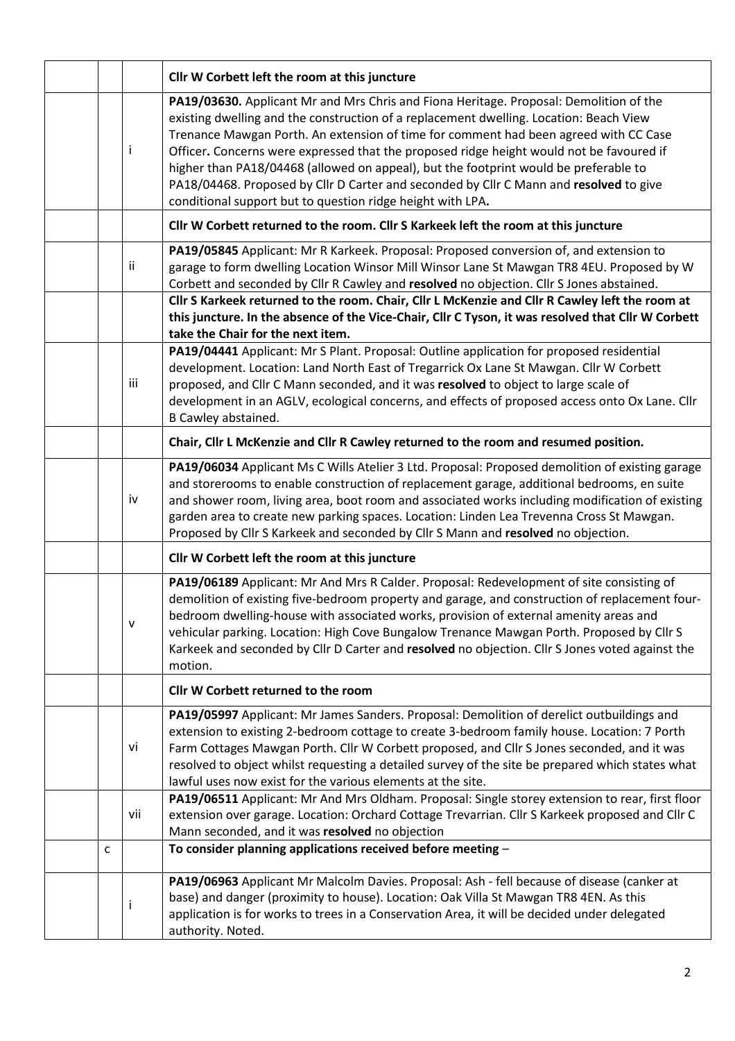|              |              | Cllr W Corbett left the room at this juncture                                                                                                                                                                                                                                                                                                                                                                                                                                                                                                                                                                        |  |  |  |
|--------------|--------------|----------------------------------------------------------------------------------------------------------------------------------------------------------------------------------------------------------------------------------------------------------------------------------------------------------------------------------------------------------------------------------------------------------------------------------------------------------------------------------------------------------------------------------------------------------------------------------------------------------------------|--|--|--|
|              | Ť            | PA19/03630. Applicant Mr and Mrs Chris and Fiona Heritage. Proposal: Demolition of the<br>existing dwelling and the construction of a replacement dwelling. Location: Beach View<br>Trenance Mawgan Porth. An extension of time for comment had been agreed with CC Case<br>Officer. Concerns were expressed that the proposed ridge height would not be favoured if<br>higher than PA18/04468 (allowed on appeal), but the footprint would be preferable to<br>PA18/04468. Proposed by Cllr D Carter and seconded by Cllr C Mann and resolved to give<br>conditional support but to question ridge height with LPA. |  |  |  |
|              |              | Cllr W Corbett returned to the room. Cllr S Karkeek left the room at this juncture                                                                                                                                                                                                                                                                                                                                                                                                                                                                                                                                   |  |  |  |
|              | ii           | PA19/05845 Applicant: Mr R Karkeek. Proposal: Proposed conversion of, and extension to<br>garage to form dwelling Location Winsor Mill Winsor Lane St Mawgan TR8 4EU. Proposed by W<br>Corbett and seconded by Cllr R Cawley and resolved no objection. Cllr S Jones abstained.                                                                                                                                                                                                                                                                                                                                      |  |  |  |
|              |              | Cllr S Karkeek returned to the room. Chair, Cllr L McKenzie and Cllr R Cawley left the room at<br>this juncture. In the absence of the Vice-Chair, Cllr C Tyson, it was resolved that Cllr W Corbett<br>take the Chair for the next item.                                                                                                                                                                                                                                                                                                                                                                            |  |  |  |
|              | iii          | PA19/04441 Applicant: Mr S Plant. Proposal: Outline application for proposed residential<br>development. Location: Land North East of Tregarrick Ox Lane St Mawgan. Cllr W Corbett<br>proposed, and Cllr C Mann seconded, and it was resolved to object to large scale of<br>development in an AGLV, ecological concerns, and effects of proposed access onto Ox Lane. Cllr<br>B Cawley abstained.                                                                                                                                                                                                                   |  |  |  |
|              |              | Chair, Cllr L McKenzie and Cllr R Cawley returned to the room and resumed position.                                                                                                                                                                                                                                                                                                                                                                                                                                                                                                                                  |  |  |  |
|              | iv           | PA19/06034 Applicant Ms C Wills Atelier 3 Ltd. Proposal: Proposed demolition of existing garage<br>and storerooms to enable construction of replacement garage, additional bedrooms, en suite<br>and shower room, living area, boot room and associated works including modification of existing<br>garden area to create new parking spaces. Location: Linden Lea Trevenna Cross St Mawgan.<br>Proposed by Cllr S Karkeek and seconded by Cllr S Mann and resolved no objection.                                                                                                                                    |  |  |  |
|              |              | Cllr W Corbett left the room at this juncture                                                                                                                                                                                                                                                                                                                                                                                                                                                                                                                                                                        |  |  |  |
|              | $\mathsf{V}$ | PA19/06189 Applicant: Mr And Mrs R Calder. Proposal: Redevelopment of site consisting of<br>demolition of existing five-bedroom property and garage, and construction of replacement four-<br>bedroom dwelling-house with associated works, provision of external amenity areas and<br>vehicular parking. Location: High Cove Bungalow Trenance Mawgan Porth. Proposed by Cllr S<br>Karkeek and seconded by Cllr D Carter and resolved no objection. Cllr S Jones voted against the<br>motion.                                                                                                                       |  |  |  |
|              |              | Cllr W Corbett returned to the room                                                                                                                                                                                                                                                                                                                                                                                                                                                                                                                                                                                  |  |  |  |
|              | vi           | PA19/05997 Applicant: Mr James Sanders. Proposal: Demolition of derelict outbuildings and<br>extension to existing 2-bedroom cottage to create 3-bedroom family house. Location: 7 Porth<br>Farm Cottages Mawgan Porth. Cllr W Corbett proposed, and Cllr S Jones seconded, and it was<br>resolved to object whilst requesting a detailed survey of the site be prepared which states what<br>lawful uses now exist for the various elements at the site.                                                                                                                                                            |  |  |  |
|              | vii          | PA19/06511 Applicant: Mr And Mrs Oldham. Proposal: Single storey extension to rear, first floor<br>extension over garage. Location: Orchard Cottage Trevarrian. Cllr S Karkeek proposed and Cllr C<br>Mann seconded, and it was resolved no objection                                                                                                                                                                                                                                                                                                                                                                |  |  |  |
| $\mathsf{C}$ |              | To consider planning applications received before meeting -                                                                                                                                                                                                                                                                                                                                                                                                                                                                                                                                                          |  |  |  |
|              | İ            | PA19/06963 Applicant Mr Malcolm Davies. Proposal: Ash - fell because of disease (canker at<br>base) and danger (proximity to house). Location: Oak Villa St Mawgan TR8 4EN. As this<br>application is for works to trees in a Conservation Area, it will be decided under delegated<br>authority. Noted.                                                                                                                                                                                                                                                                                                             |  |  |  |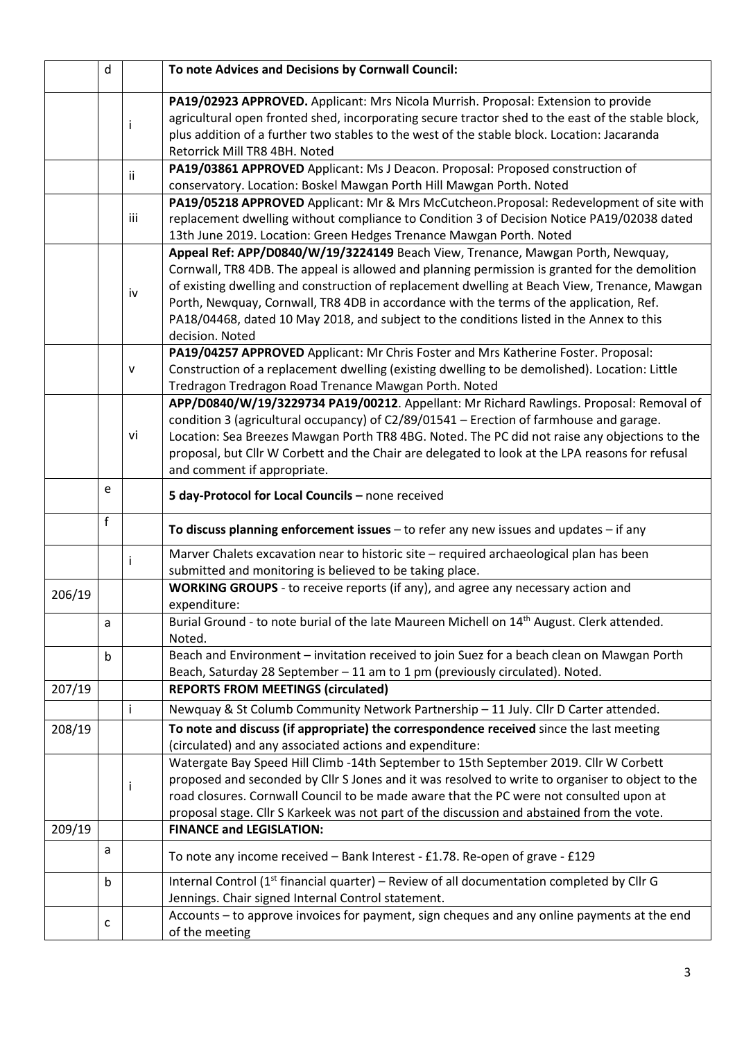|        | d |              | To note Advices and Decisions by Cornwall Council:                                                                                                                                                                                                                                                                                                                                                                                                                                           |  |  |  |  |  |
|--------|---|--------------|----------------------------------------------------------------------------------------------------------------------------------------------------------------------------------------------------------------------------------------------------------------------------------------------------------------------------------------------------------------------------------------------------------------------------------------------------------------------------------------------|--|--|--|--|--|
|        |   | Ť            | PA19/02923 APPROVED. Applicant: Mrs Nicola Murrish. Proposal: Extension to provide<br>agricultural open fronted shed, incorporating secure tractor shed to the east of the stable block,<br>plus addition of a further two stables to the west of the stable block. Location: Jacaranda<br>Retorrick Mill TR8 4BH. Noted                                                                                                                                                                     |  |  |  |  |  |
|        |   |              | PA19/03861 APPROVED Applicant: Ms J Deacon. Proposal: Proposed construction of                                                                                                                                                                                                                                                                                                                                                                                                               |  |  |  |  |  |
|        |   | Ϊİ           | conservatory. Location: Boskel Mawgan Porth Hill Mawgan Porth. Noted                                                                                                                                                                                                                                                                                                                                                                                                                         |  |  |  |  |  |
|        |   | iii          | PA19/05218 APPROVED Applicant: Mr & Mrs McCutcheon.Proposal: Redevelopment of site with<br>replacement dwelling without compliance to Condition 3 of Decision Notice PA19/02038 dated                                                                                                                                                                                                                                                                                                        |  |  |  |  |  |
|        |   |              | 13th June 2019. Location: Green Hedges Trenance Mawgan Porth. Noted                                                                                                                                                                                                                                                                                                                                                                                                                          |  |  |  |  |  |
|        |   | iv           | Appeal Ref: APP/D0840/W/19/3224149 Beach View, Trenance, Mawgan Porth, Newquay,<br>Cornwall, TR8 4DB. The appeal is allowed and planning permission is granted for the demolition<br>of existing dwelling and construction of replacement dwelling at Beach View, Trenance, Mawgan<br>Porth, Newquay, Cornwall, TR8 4DB in accordance with the terms of the application, Ref.<br>PA18/04468, dated 10 May 2018, and subject to the conditions listed in the Annex to this<br>decision. Noted |  |  |  |  |  |
|        |   | ${\sf v}$    | PA19/04257 APPROVED Applicant: Mr Chris Foster and Mrs Katherine Foster. Proposal:<br>Construction of a replacement dwelling (existing dwelling to be demolished). Location: Little<br>Tredragon Tredragon Road Trenance Mawgan Porth. Noted                                                                                                                                                                                                                                                 |  |  |  |  |  |
|        |   | vi           | APP/D0840/W/19/3229734 PA19/00212. Appellant: Mr Richard Rawlings. Proposal: Removal of<br>condition 3 (agricultural occupancy) of C2/89/01541 - Erection of farmhouse and garage.<br>Location: Sea Breezes Mawgan Porth TR8 4BG. Noted. The PC did not raise any objections to the<br>proposal, but Cllr W Corbett and the Chair are delegated to look at the LPA reasons for refusal<br>and comment if appropriate.                                                                        |  |  |  |  |  |
|        | e |              | 5 day-Protocol for Local Councils - none received                                                                                                                                                                                                                                                                                                                                                                                                                                            |  |  |  |  |  |
|        | f |              | To discuss planning enforcement issues $-$ to refer any new issues and updates $-$ if any                                                                                                                                                                                                                                                                                                                                                                                                    |  |  |  |  |  |
|        |   | $\mathbf{I}$ | Marver Chalets excavation near to historic site - required archaeological plan has been<br>submitted and monitoring is believed to be taking place.                                                                                                                                                                                                                                                                                                                                          |  |  |  |  |  |
| 206/19 |   |              | WORKING GROUPS - to receive reports (if any), and agree any necessary action and<br>expenditure:                                                                                                                                                                                                                                                                                                                                                                                             |  |  |  |  |  |
|        | a |              | Burial Ground - to note burial of the late Maureen Michell on 14 <sup>th</sup> August. Clerk attended.<br>Noted.                                                                                                                                                                                                                                                                                                                                                                             |  |  |  |  |  |
|        | b |              | Beach and Environment - invitation received to join Suez for a beach clean on Mawgan Porth                                                                                                                                                                                                                                                                                                                                                                                                   |  |  |  |  |  |
| 207/19 |   |              | Beach, Saturday 28 September - 11 am to 1 pm (previously circulated). Noted.<br><b>REPORTS FROM MEETINGS (circulated)</b>                                                                                                                                                                                                                                                                                                                                                                    |  |  |  |  |  |
|        |   |              | Newquay & St Columb Community Network Partnership - 11 July. Cllr D Carter attended.                                                                                                                                                                                                                                                                                                                                                                                                         |  |  |  |  |  |
| 208/19 |   |              | To note and discuss (if appropriate) the correspondence received since the last meeting                                                                                                                                                                                                                                                                                                                                                                                                      |  |  |  |  |  |
|        |   |              | (circulated) and any associated actions and expenditure:                                                                                                                                                                                                                                                                                                                                                                                                                                     |  |  |  |  |  |
|        |   | i            | Watergate Bay Speed Hill Climb -14th September to 15th September 2019. Cllr W Corbett<br>proposed and seconded by Cllr S Jones and it was resolved to write to organiser to object to the<br>road closures. Cornwall Council to be made aware that the PC were not consulted upon at                                                                                                                                                                                                         |  |  |  |  |  |
|        |   |              | proposal stage. Cllr S Karkeek was not part of the discussion and abstained from the vote.                                                                                                                                                                                                                                                                                                                                                                                                   |  |  |  |  |  |
| 209/19 |   |              | <b>FINANCE and LEGISLATION:</b>                                                                                                                                                                                                                                                                                                                                                                                                                                                              |  |  |  |  |  |
|        | a |              | To note any income received - Bank Interest - £1.78. Re-open of grave - £129                                                                                                                                                                                                                                                                                                                                                                                                                 |  |  |  |  |  |
|        | b |              | Internal Control ( $1st$ financial quarter) – Review of all documentation completed by Cllr G<br>Jennings. Chair signed Internal Control statement.                                                                                                                                                                                                                                                                                                                                          |  |  |  |  |  |
|        | с |              | Accounts - to approve invoices for payment, sign cheques and any online payments at the end<br>of the meeting                                                                                                                                                                                                                                                                                                                                                                                |  |  |  |  |  |